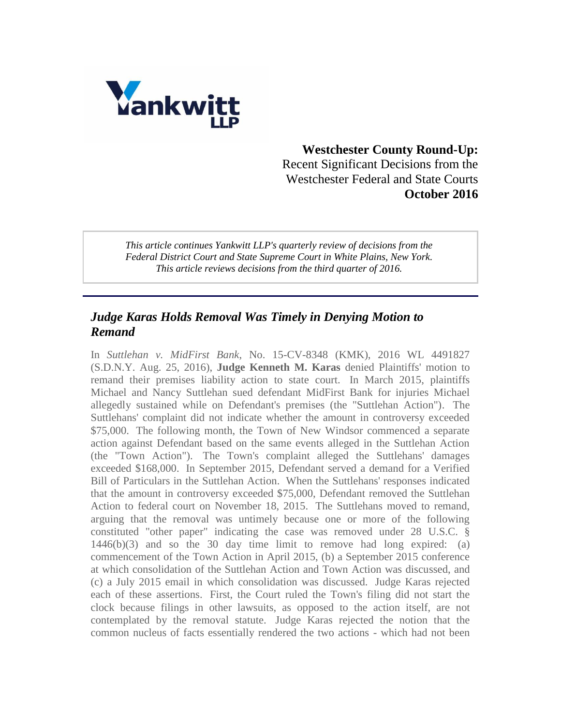

## **Westchester County Round-Up:** Recent Significant Decisions from the Westchester Federal and State Courts **October 2016**

*This article continues Yankwitt LLP's quarterly review of decisions from the Federal District Court and State Supreme Court in White Plains, New York. This article reviews decisions from the third quarter of 2016.*

#### *Judge Karas Holds Removal Was Timely in Denying Motion to Remand*

In *Suttlehan v. MidFirst Bank*, No. 15-CV-8348 (KMK), 2016 WL 4491827 (S.D.N.Y. Aug. 25, 2016), **Judge Kenneth M. Karas** denied Plaintiffs' motion to remand their premises liability action to state court. In March 2015, plaintiffs Michael and Nancy Suttlehan sued defendant MidFirst Bank for injuries Michael allegedly sustained while on Defendant's premises (the "Suttlehan Action"). The Suttlehans' complaint did not indicate whether the amount in controversy exceeded \$75,000. The following month, the Town of New Windsor commenced a separate action against Defendant based on the same events alleged in the Suttlehan Action (the "Town Action"). The Town's complaint alleged the Suttlehans' damages exceeded \$168,000. In September 2015, Defendant served a demand for a Verified Bill of Particulars in the Suttlehan Action. When the Suttlehans' responses indicated that the amount in controversy exceeded \$75,000, Defendant removed the Suttlehan Action to federal court on November 18, 2015. The Suttlehans moved to remand, arguing that the removal was untimely because one or more of the following constituted "other paper" indicating the case was removed under 28 U.S.C. § 1446(b)(3) and so the 30 day time limit to remove had long expired: (a) commencement of the Town Action in April 2015, (b) a September 2015 conference at which consolidation of the Suttlehan Action and Town Action was discussed, and (c) a July 2015 email in which consolidation was discussed. Judge Karas rejected each of these assertions. First, the Court ruled the Town's filing did not start the clock because filings in other lawsuits, as opposed to the action itself, are not contemplated by the removal statute. Judge Karas rejected the notion that the common nucleus of facts essentially rendered the two actions - which had not been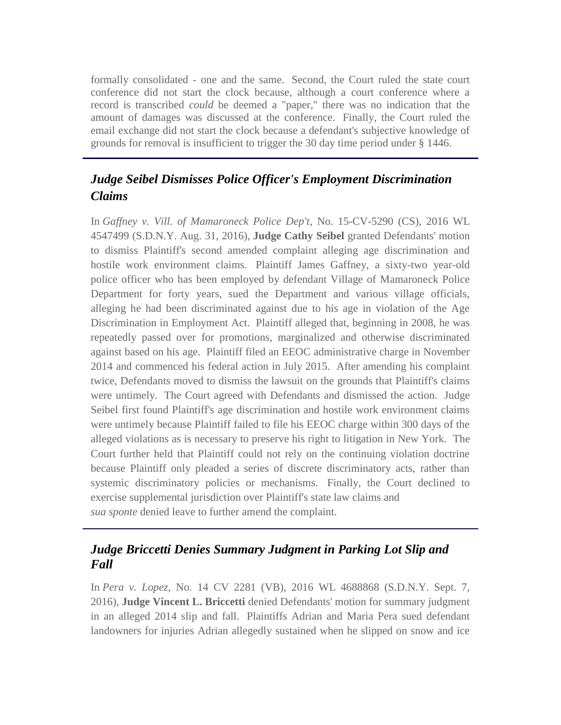formally consolidated - one and the same. Second, the Court ruled the state court conference did not start the clock because, although a court conference where a record is transcribed *could* be deemed a "paper," there was no indication that the amount of damages was discussed at the conference. Finally, the Court ruled the email exchange did not start the clock because a defendant's subjective knowledge of grounds for removal is insufficient to trigger the 30 day time period under § 1446.

# *Judge Seibel Dismisses Police Officer's Employment Discrimination Claims*

In *Gaffney v. Vill. of Mamaroneck Police Dep't*, No. 15-CV-5290 (CS), 2016 WL 4547499 (S.D.N.Y. Aug. 31, 2016), **Judge Cathy Seibel** granted Defendants' motion to dismiss Plaintiff's second amended complaint alleging age discrimination and hostile work environment claims. Plaintiff James Gaffney, a sixty-two year-old police officer who has been employed by defendant Village of Mamaroneck Police Department for forty years, sued the Department and various village officials, alleging he had been discriminated against due to his age in violation of the Age Discrimination in Employment Act. Plaintiff alleged that, beginning in 2008, he was repeatedly passed over for promotions, marginalized and otherwise discriminated against based on his age. Plaintiff filed an EEOC administrative charge in November 2014 and commenced his federal action in July 2015. After amending his complaint twice, Defendants moved to dismiss the lawsuit on the grounds that Plaintiff's claims were untimely. The Court agreed with Defendants and dismissed the action. Judge Seibel first found Plaintiff's age discrimination and hostile work environment claims were untimely because Plaintiff failed to file his EEOC charge within 300 days of the alleged violations as is necessary to preserve his right to litigation in New York. The Court further held that Plaintiff could not rely on the continuing violation doctrine because Plaintiff only pleaded a series of discrete discriminatory acts, rather than systemic discriminatory policies or mechanisms. Finally, the Court declined to exercise supplemental jurisdiction over Plaintiff's state law claims and *sua sponte* denied leave to further amend the complaint.

### *Judge Briccetti Denies Summary Judgment in Parking Lot Slip and Fall*

In *Pera v. Lopez*, No. 14 CV 2281 (VB), 2016 WL 4688868 (S.D.N.Y. Sept. 7, 2016), **Judge Vincent L. Briccetti** denied Defendants' motion for summary judgment in an alleged 2014 slip and fall. Plaintiffs Adrian and Maria Pera sued defendant landowners for injuries Adrian allegedly sustained when he slipped on snow and ice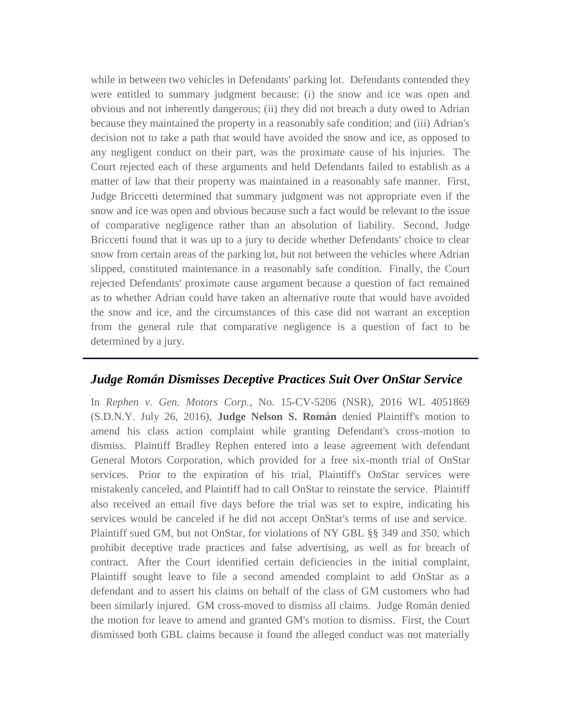while in between two vehicles in Defendants' parking lot. Defendants contended they were entitled to summary judgment because: (i) the snow and ice was open and obvious and not inherently dangerous; (ii) they did not breach a duty owed to Adrian because they maintained the property in a reasonably safe condition; and (iii) Adrian's decision not to take a path that would have avoided the snow and ice, as opposed to any negligent conduct on their part, was the proximate cause of his injuries. The Court rejected each of these arguments and held Defendants failed to establish as a matter of law that their property was maintained in a reasonably safe manner. First, Judge Briccetti determined that summary judgment was not appropriate even if the snow and ice was open and obvious because such a fact would be relevant to the issue of comparative negligence rather than an absolution of liability. Second, Judge Briccetti found that it was up to a jury to decide whether Defendants' choice to clear snow from certain areas of the parking lot, but not between the vehicles where Adrian slipped, constituted maintenance in a reasonably safe condition. Finally, the Court rejected Defendants' proximate cause argument because a question of fact remained as to whether Adrian could have taken an alternative route that would have avoided the snow and ice, and the circumstances of this case did not warrant an exception from the general rule that comparative negligence is a question of fact to be determined by a jury.

#### *Judge Román Dismisses Deceptive Practices Suit Over OnStar Service*

In *Rephen v. Gen. Motors Corp.*, No. 15-CV-5206 (NSR), 2016 WL 4051869 (S.D.N.Y. July 26, 2016), **Judge Nelson S. Román** denied Plaintiff's motion to amend his class action complaint while granting Defendant's cross-motion to dismiss. Plaintiff Bradley Rephen entered into a lease agreement with defendant General Motors Corporation, which provided for a free six-month trial of OnStar services. Prior to the expiration of his trial, Plaintiff's OnStar services were mistakenly canceled, and Plaintiff had to call OnStar to reinstate the service. Plaintiff also received an email five days before the trial was set to expire, indicating his services would be canceled if he did not accept OnStar's terms of use and service. Plaintiff sued GM, but not OnStar, for violations of NY GBL §§ 349 and 350, which prohibit deceptive trade practices and false advertising, as well as for breach of contract. After the Court identified certain deficiencies in the initial complaint, Plaintiff sought leave to file a second amended complaint to add OnStar as a defendant and to assert his claims on behalf of the class of GM customers who had been similarly injured. GM cross-moved to dismiss all claims. Judge Román denied the motion for leave to amend and granted GM's motion to dismiss. First, the Court dismissed both GBL claims because it found the alleged conduct was not materially